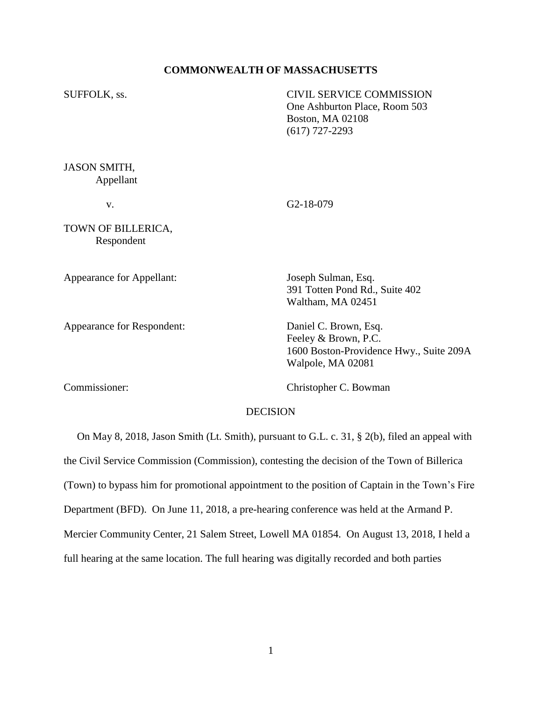## **COMMONWEALTH OF MASSACHUSETTS**

SUFFOLK, ss. CIVIL SERVICE COMMISSION One Ashburton Place, Room 503 Boston, MA 02108 (617) 727-2293 JASON SMITH, Appellant

v. G2-18-079

TOWN OF BILLERICA, Respondent

Appearance for Appellant: Joseph Sulman, Esq.

Appearance for Respondent: Daniel C. Brown, Esq.

391 Totten Pond Rd., Suite 402 Waltham, MA 02451

Feeley & Brown, P.C. 1600 Boston-Providence Hwy., Suite 209A Walpole, MA 02081

Commissioner: Christopher C. Bowman

#### DECISION

 On May 8, 2018, Jason Smith (Lt. Smith), pursuant to G.L. c. 31, § 2(b), filed an appeal with the Civil Service Commission (Commission), contesting the decision of the Town of Billerica (Town) to bypass him for promotional appointment to the position of Captain in the Town's Fire Department (BFD). On June 11, 2018, a pre-hearing conference was held at the Armand P. Mercier Community Center, 21 Salem Street, Lowell MA 01854. On August 13, 2018, I held a full hearing at the same location. The full hearing was digitally recorded and both parties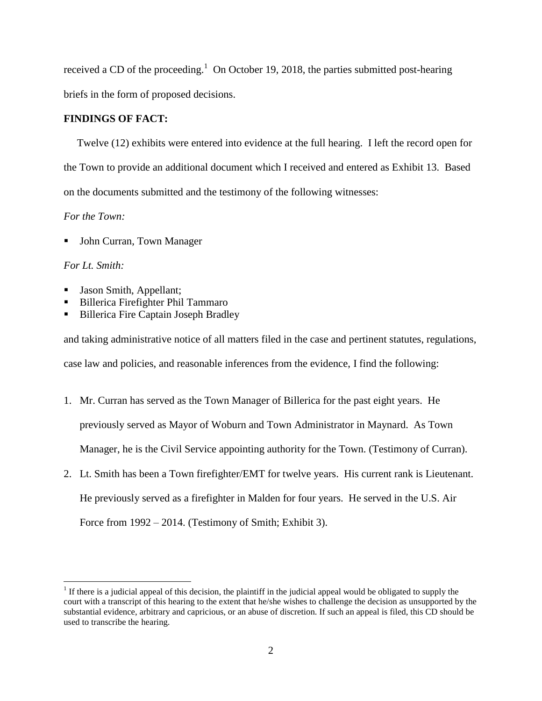received a CD of the proceeding.<sup>1</sup> On October 19, 2018, the parties submitted post-hearing briefs in the form of proposed decisions.

# **FINDINGS OF FACT:**

Twelve (12) exhibits were entered into evidence at the full hearing. I left the record open for the Town to provide an additional document which I received and entered as Exhibit 13. Based on the documents submitted and the testimony of the following witnesses:

## *For the Town:*

John Curran, Town Manager

# *For Lt. Smith:*

 $\overline{a}$ 

- Jason Smith, Appellant;
- Billerica Firefighter Phil Tammaro
- Billerica Fire Captain Joseph Bradley

and taking administrative notice of all matters filed in the case and pertinent statutes, regulations, case law and policies, and reasonable inferences from the evidence, I find the following:

- 1. Mr. Curran has served as the Town Manager of Billerica for the past eight years. He previously served as Mayor of Woburn and Town Administrator in Maynard. As Town Manager, he is the Civil Service appointing authority for the Town. (Testimony of Curran).
- 2. Lt. Smith has been a Town firefighter/EMT for twelve years. His current rank is Lieutenant. He previously served as a firefighter in Malden for four years. He served in the U.S. Air Force from 1992 – 2014. (Testimony of Smith; Exhibit 3).

<sup>&</sup>lt;sup>1</sup> If there is a judicial appeal of this decision, the plaintiff in the judicial appeal would be obligated to supply the court with a transcript of this hearing to the extent that he/she wishes to challenge the decision as unsupported by the substantial evidence, arbitrary and capricious, or an abuse of discretion. If such an appeal is filed, this CD should be used to transcribe the hearing.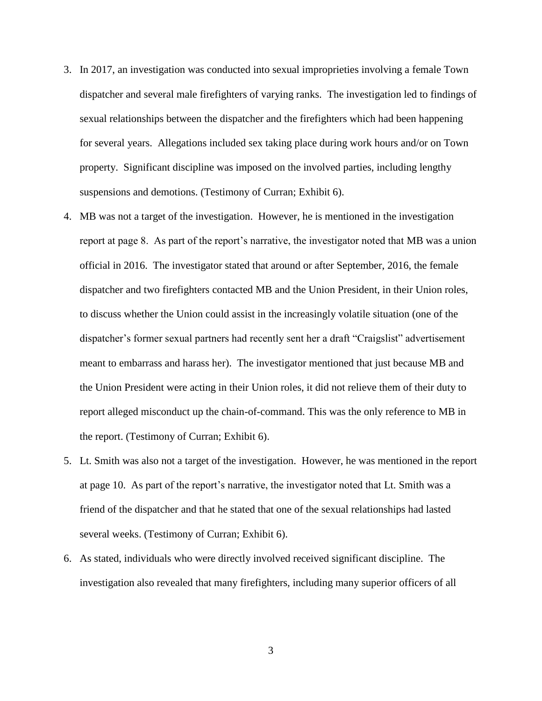- 3. In 2017, an investigation was conducted into sexual improprieties involving a female Town dispatcher and several male firefighters of varying ranks. The investigation led to findings of sexual relationships between the dispatcher and the firefighters which had been happening for several years. Allegations included sex taking place during work hours and/or on Town property. Significant discipline was imposed on the involved parties, including lengthy suspensions and demotions. (Testimony of Curran; Exhibit 6).
- 4. MB was not a target of the investigation. However, he is mentioned in the investigation report at page 8. As part of the report's narrative, the investigator noted that MB was a union official in 2016. The investigator stated that around or after September, 2016, the female dispatcher and two firefighters contacted MB and the Union President, in their Union roles, to discuss whether the Union could assist in the increasingly volatile situation (one of the dispatcher's former sexual partners had recently sent her a draft "Craigslist" advertisement meant to embarrass and harass her). The investigator mentioned that just because MB and the Union President were acting in their Union roles, it did not relieve them of their duty to report alleged misconduct up the chain-of-command. This was the only reference to MB in the report. (Testimony of Curran; Exhibit 6).
- 5. Lt. Smith was also not a target of the investigation. However, he was mentioned in the report at page 10. As part of the report's narrative, the investigator noted that Lt. Smith was a friend of the dispatcher and that he stated that one of the sexual relationships had lasted several weeks. (Testimony of Curran; Exhibit 6).
- 6. As stated, individuals who were directly involved received significant discipline. The investigation also revealed that many firefighters, including many superior officers of all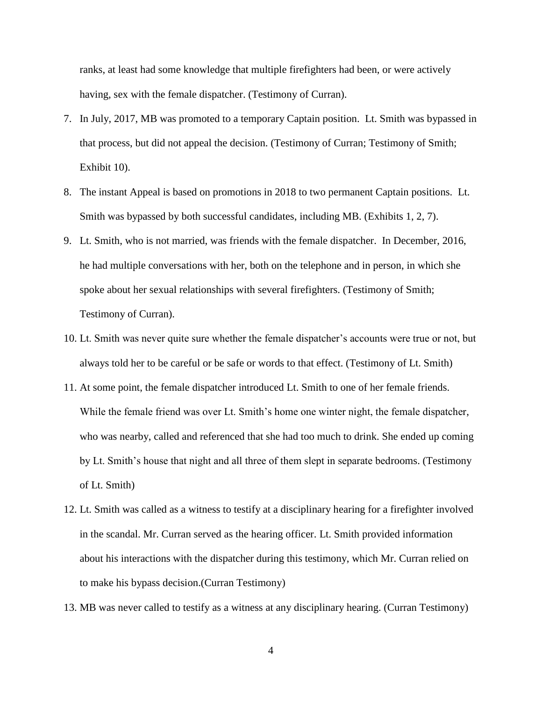ranks, at least had some knowledge that multiple firefighters had been, or were actively having, sex with the female dispatcher. (Testimony of Curran).

- 7. In July, 2017, MB was promoted to a temporary Captain position. Lt. Smith was bypassed in that process, but did not appeal the decision. (Testimony of Curran; Testimony of Smith; Exhibit 10).
- 8. The instant Appeal is based on promotions in 2018 to two permanent Captain positions. Lt. Smith was bypassed by both successful candidates, including MB. (Exhibits 1, 2, 7).
- 9. Lt. Smith, who is not married, was friends with the female dispatcher. In December, 2016, he had multiple conversations with her, both on the telephone and in person, in which she spoke about her sexual relationships with several firefighters. (Testimony of Smith; Testimony of Curran).
- 10. Lt. Smith was never quite sure whether the female dispatcher's accounts were true or not, but always told her to be careful or be safe or words to that effect. (Testimony of Lt. Smith)
- 11. At some point, the female dispatcher introduced Lt. Smith to one of her female friends. While the female friend was over Lt. Smith's home one winter night, the female dispatcher, who was nearby, called and referenced that she had too much to drink. She ended up coming by Lt. Smith's house that night and all three of them slept in separate bedrooms. (Testimony of Lt. Smith)
- 12. Lt. Smith was called as a witness to testify at a disciplinary hearing for a firefighter involved in the scandal. Mr. Curran served as the hearing officer. Lt. Smith provided information about his interactions with the dispatcher during this testimony, which Mr. Curran relied on to make his bypass decision.(Curran Testimony)
- 13. MB was never called to testify as a witness at any disciplinary hearing. (Curran Testimony)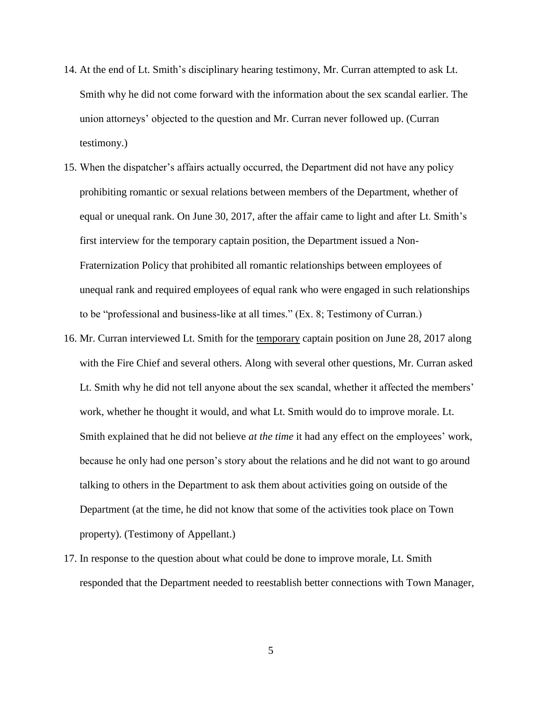- 14. At the end of Lt. Smith's disciplinary hearing testimony, Mr. Curran attempted to ask Lt. Smith why he did not come forward with the information about the sex scandal earlier. The union attorneys' objected to the question and Mr. Curran never followed up. (Curran testimony.)
- 15. When the dispatcher's affairs actually occurred, the Department did not have any policy prohibiting romantic or sexual relations between members of the Department, whether of equal or unequal rank. On June 30, 2017, after the affair came to light and after Lt. Smith's first interview for the temporary captain position, the Department issued a Non-Fraternization Policy that prohibited all romantic relationships between employees of unequal rank and required employees of equal rank who were engaged in such relationships to be "professional and business-like at all times." (Ex. 8; Testimony of Curran.)
- 16. Mr. Curran interviewed Lt. Smith for the temporary captain position on June 28, 2017 along with the Fire Chief and several others. Along with several other questions, Mr. Curran asked Lt. Smith why he did not tell anyone about the sex scandal, whether it affected the members' work, whether he thought it would, and what Lt. Smith would do to improve morale. Lt. Smith explained that he did not believe *at the time* it had any effect on the employees' work, because he only had one person's story about the relations and he did not want to go around talking to others in the Department to ask them about activities going on outside of the Department (at the time, he did not know that some of the activities took place on Town property). (Testimony of Appellant.)
- 17. In response to the question about what could be done to improve morale, Lt. Smith responded that the Department needed to reestablish better connections with Town Manager,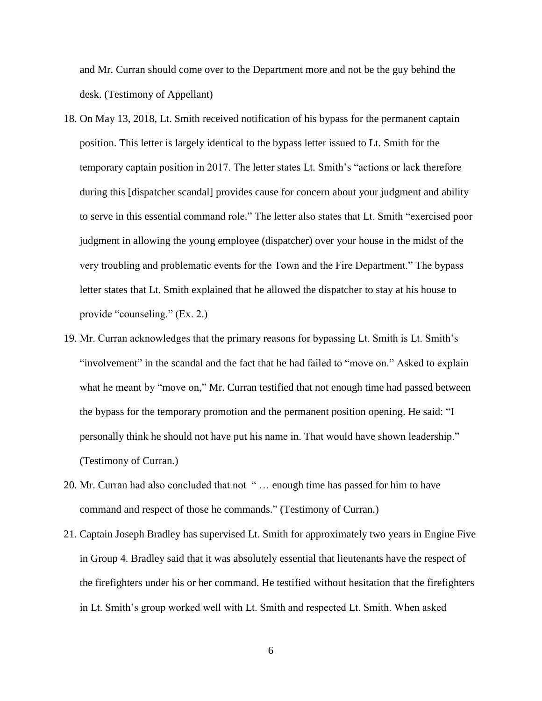and Mr. Curran should come over to the Department more and not be the guy behind the desk. (Testimony of Appellant)

- 18. On May 13, 2018, Lt. Smith received notification of his bypass for the permanent captain position. This letter is largely identical to the bypass letter issued to Lt. Smith for the temporary captain position in 2017. The letter states Lt. Smith's "actions or lack therefore during this [dispatcher scandal] provides cause for concern about your judgment and ability to serve in this essential command role." The letter also states that Lt. Smith "exercised poor judgment in allowing the young employee (dispatcher) over your house in the midst of the very troubling and problematic events for the Town and the Fire Department." The bypass letter states that Lt. Smith explained that he allowed the dispatcher to stay at his house to provide "counseling." (Ex. 2.)
- 19. Mr. Curran acknowledges that the primary reasons for bypassing Lt. Smith is Lt. Smith's "involvement" in the scandal and the fact that he had failed to "move on." Asked to explain what he meant by "move on," Mr. Curran testified that not enough time had passed between the bypass for the temporary promotion and the permanent position opening. He said: "I personally think he should not have put his name in. That would have shown leadership." (Testimony of Curran.)
- 20. Mr. Curran had also concluded that not " … enough time has passed for him to have command and respect of those he commands." (Testimony of Curran.)
- 21. Captain Joseph Bradley has supervised Lt. Smith for approximately two years in Engine Five in Group 4. Bradley said that it was absolutely essential that lieutenants have the respect of the firefighters under his or her command. He testified without hesitation that the firefighters in Lt. Smith's group worked well with Lt. Smith and respected Lt. Smith. When asked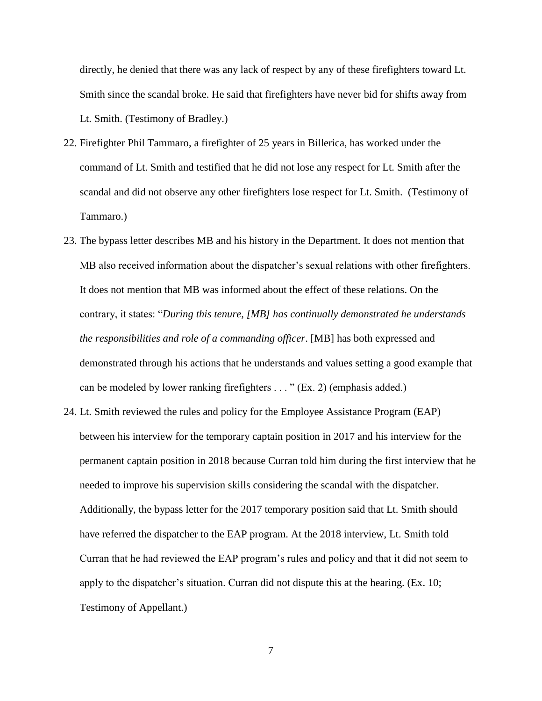directly, he denied that there was any lack of respect by any of these firefighters toward Lt. Smith since the scandal broke. He said that firefighters have never bid for shifts away from Lt. Smith. (Testimony of Bradley.)

- 22. Firefighter Phil Tammaro, a firefighter of 25 years in Billerica, has worked under the command of Lt. Smith and testified that he did not lose any respect for Lt. Smith after the scandal and did not observe any other firefighters lose respect for Lt. Smith. (Testimony of Tammaro.)
- 23. The bypass letter describes MB and his history in the Department. It does not mention that MB also received information about the dispatcher's sexual relations with other firefighters. It does not mention that MB was informed about the effect of these relations. On the contrary, it states: "*During this tenure, [MB] has continually demonstrated he understands the responsibilities and role of a commanding officer*. [MB] has both expressed and demonstrated through his actions that he understands and values setting a good example that can be modeled by lower ranking firefighters . . . " (Ex. 2) (emphasis added.)
- 24. Lt. Smith reviewed the rules and policy for the Employee Assistance Program (EAP) between his interview for the temporary captain position in 2017 and his interview for the permanent captain position in 2018 because Curran told him during the first interview that he needed to improve his supervision skills considering the scandal with the dispatcher. Additionally, the bypass letter for the 2017 temporary position said that Lt. Smith should have referred the dispatcher to the EAP program. At the 2018 interview, Lt. Smith told Curran that he had reviewed the EAP program's rules and policy and that it did not seem to apply to the dispatcher's situation. Curran did not dispute this at the hearing. (Ex. 10; Testimony of Appellant.)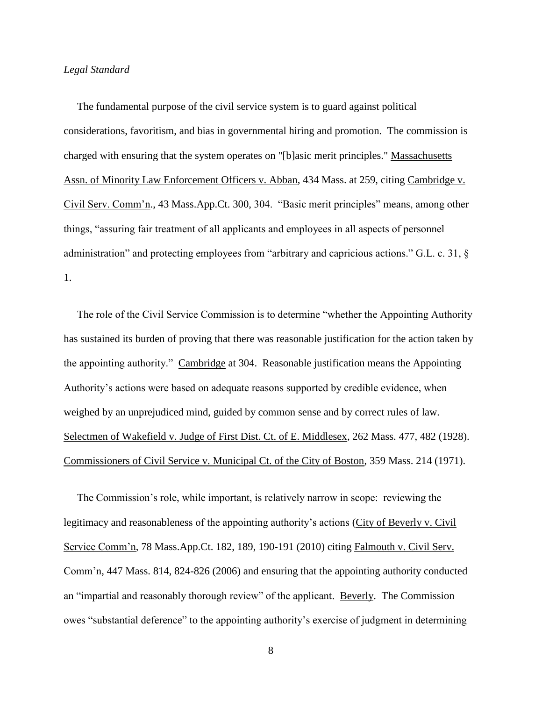#### *Legal Standard*

 The fundamental purpose of the civil service system is to guard against political considerations, favoritism, and bias in governmental hiring and promotion. The commission is charged with ensuring that the system operates on "[b]asic merit principles." Massachusetts Assn. of Minority Law Enforcement Officers v. Abban, 434 Mass. at 259, citing Cambridge v. Civil Serv. Comm'n., 43 Mass.App.Ct. 300, 304. "Basic merit principles" means, among other things, "assuring fair treatment of all applicants and employees in all aspects of personnel administration" and protecting employees from "arbitrary and capricious actions." G.L. c. 31, § 1.

 The role of the Civil Service Commission is to determine "whether the Appointing Authority has sustained its burden of proving that there was reasonable justification for the action taken by the appointing authority." Cambridge at 304. Reasonable justification means the Appointing Authority's actions were based on adequate reasons supported by credible evidence, when weighed by an unprejudiced mind, guided by common sense and by correct rules of law. Selectmen of Wakefield v. Judge of First Dist. Ct. of E. Middlesex, 262 Mass. 477, 482 (1928). Commissioners of Civil Service v. Municipal Ct. of the City of Boston, 359 Mass. 214 (1971).

 The Commission's role, while important, is relatively narrow in scope: reviewing the legitimacy and reasonableness of the appointing authority's actions (City of Beverly v. Civil Service Comm'n, 78 Mass.App.Ct. 182, 189, 190-191 (2010) citing Falmouth v. Civil Serv. Comm'n, 447 Mass. 814, 824-826 (2006) and ensuring that the appointing authority conducted an "impartial and reasonably thorough review" of the applicant. Beverly. The Commission owes "substantial deference" to the appointing authority's exercise of judgment in determining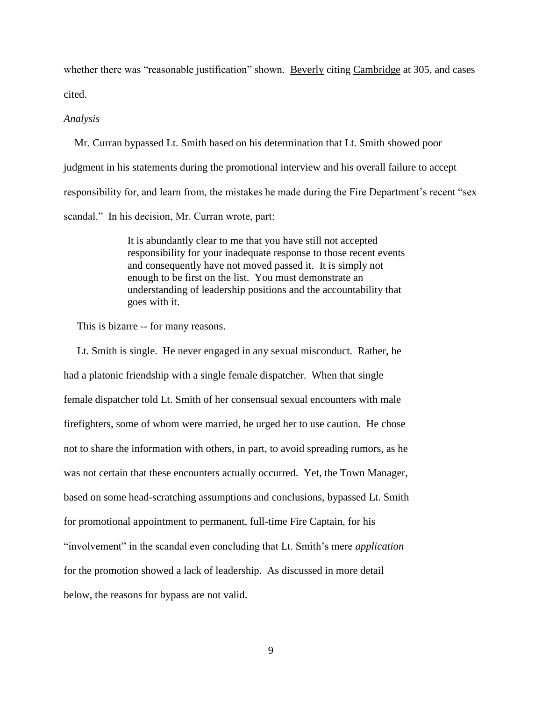whether there was "reasonable justification" shown. Beverly citing Cambridge at 305, and cases cited.

#### *Analysis*

 Mr. Curran bypassed Lt. Smith based on his determination that Lt. Smith showed poor judgment in his statements during the promotional interview and his overall failure to accept responsibility for, and learn from, the mistakes he made during the Fire Department's recent "sex scandal." In his decision, Mr. Curran wrote, part:

> It is abundantly clear to me that you have still not accepted responsibility for your inadequate response to those recent events and consequently have not moved passed it. It is simply not enough to be first on the list. You must demonstrate an understanding of leadership positions and the accountability that goes with it.

This is bizarre -- for many reasons.

 Lt. Smith is single. He never engaged in any sexual misconduct. Rather, he had a platonic friendship with a single female dispatcher. When that single female dispatcher told Lt. Smith of her consensual sexual encounters with male firefighters, some of whom were married, he urged her to use caution. He chose not to share the information with others, in part, to avoid spreading rumors, as he was not certain that these encounters actually occurred. Yet, the Town Manager, based on some head-scratching assumptions and conclusions, bypassed Lt. Smith for promotional appointment to permanent, full-time Fire Captain, for his "involvement" in the scandal even concluding that Lt. Smith's mere *application* for the promotion showed a lack of leadership. As discussed in more detail below, the reasons for bypass are not valid.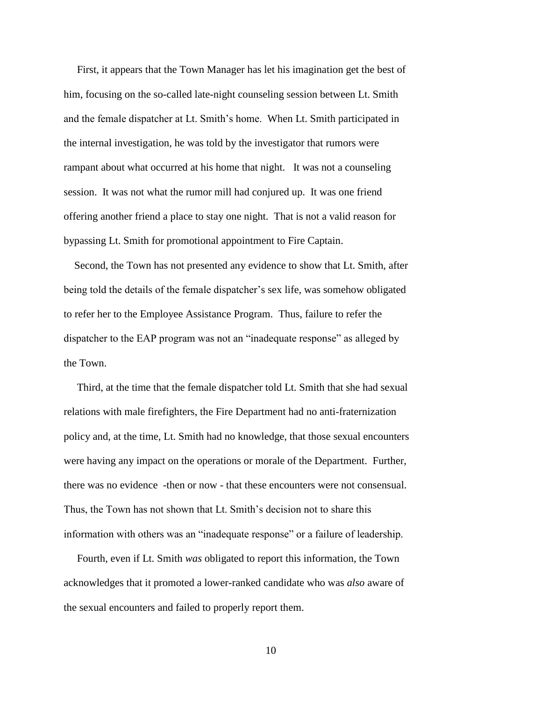First, it appears that the Town Manager has let his imagination get the best of him, focusing on the so-called late-night counseling session between Lt. Smith and the female dispatcher at Lt. Smith's home. When Lt. Smith participated in the internal investigation, he was told by the investigator that rumors were rampant about what occurred at his home that night. It was not a counseling session. It was not what the rumor mill had conjured up. It was one friend offering another friend a place to stay one night. That is not a valid reason for bypassing Lt. Smith for promotional appointment to Fire Captain.

 Second, the Town has not presented any evidence to show that Lt. Smith, after being told the details of the female dispatcher's sex life, was somehow obligated to refer her to the Employee Assistance Program. Thus, failure to refer the dispatcher to the EAP program was not an "inadequate response" as alleged by the Town.

 Third, at the time that the female dispatcher told Lt. Smith that she had sexual relations with male firefighters, the Fire Department had no anti-fraternization policy and, at the time, Lt. Smith had no knowledge, that those sexual encounters were having any impact on the operations or morale of the Department. Further, there was no evidence -then or now - that these encounters were not consensual. Thus, the Town has not shown that Lt. Smith's decision not to share this information with others was an "inadequate response" or a failure of leadership.

 Fourth, even if Lt. Smith *was* obligated to report this information, the Town acknowledges that it promoted a lower-ranked candidate who was *also* aware of the sexual encounters and failed to properly report them.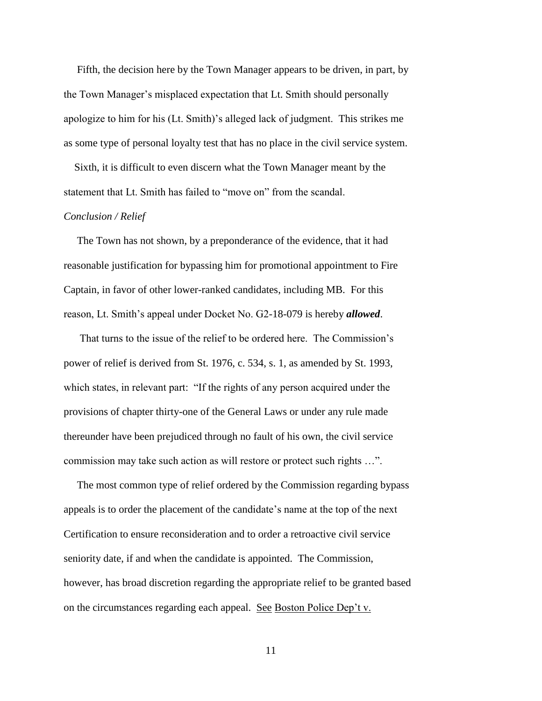Fifth, the decision here by the Town Manager appears to be driven, in part, by the Town Manager's misplaced expectation that Lt. Smith should personally apologize to him for his (Lt. Smith)'s alleged lack of judgment. This strikes me as some type of personal loyalty test that has no place in the civil service system.

 Sixth, it is difficult to even discern what the Town Manager meant by the statement that Lt. Smith has failed to "move on" from the scandal.

## *Conclusion / Relief*

 The Town has not shown, by a preponderance of the evidence, that it had reasonable justification for bypassing him for promotional appointment to Fire Captain, in favor of other lower-ranked candidates, including MB. For this reason, Lt. Smith's appeal under Docket No. G2-18-079 is hereby *allowed*.

 That turns to the issue of the relief to be ordered here. The Commission's power of relief is derived from St. 1976, c. 534, s. 1, as amended by St. 1993, which states, in relevant part: "If the rights of any person acquired under the provisions of chapter thirty-one of the General Laws or under any rule made thereunder have been prejudiced through no fault of his own, the civil service commission may take such action as will restore or protect such rights …".

 The most common type of relief ordered by the Commission regarding bypass appeals is to order the placement of the candidate's name at the top of the next Certification to ensure reconsideration and to order a retroactive civil service seniority date, if and when the candidate is appointed. The Commission, however, has broad discretion regarding the appropriate relief to be granted based on the circumstances regarding each appeal. See Boston Police Dep't v.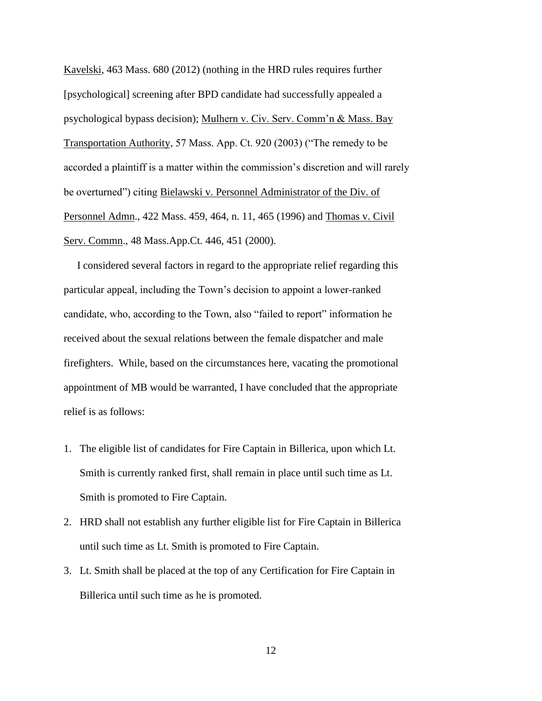Kavelski, 463 Mass. 680 (2012) (nothing in the HRD rules requires further [psychological] screening after BPD candidate had successfully appealed a psychological bypass decision); Mulhern v. Civ. Serv. Comm'n & Mass. Bay Transportation Authority, 57 Mass. App. Ct. 920 (2003) ("The remedy to be accorded a plaintiff is a matter within the commission's discretion and will rarely be overturned") citing Bielawski v. Personnel Administrator of the Div. of Personnel Admn., 422 Mass. 459, 464, n. 11, 465 (1996) and Thomas v. Civil Serv. Commn., 48 Mass.App.Ct. 446, 451 (2000).

 I considered several factors in regard to the appropriate relief regarding this particular appeal, including the Town's decision to appoint a lower-ranked candidate, who, according to the Town, also "failed to report" information he received about the sexual relations between the female dispatcher and male firefighters. While, based on the circumstances here, vacating the promotional appointment of MB would be warranted, I have concluded that the appropriate relief is as follows:

- 1. The eligible list of candidates for Fire Captain in Billerica, upon which Lt. Smith is currently ranked first, shall remain in place until such time as Lt. Smith is promoted to Fire Captain.
- 2. HRD shall not establish any further eligible list for Fire Captain in Billerica until such time as Lt. Smith is promoted to Fire Captain.
- 3. Lt. Smith shall be placed at the top of any Certification for Fire Captain in Billerica until such time as he is promoted.